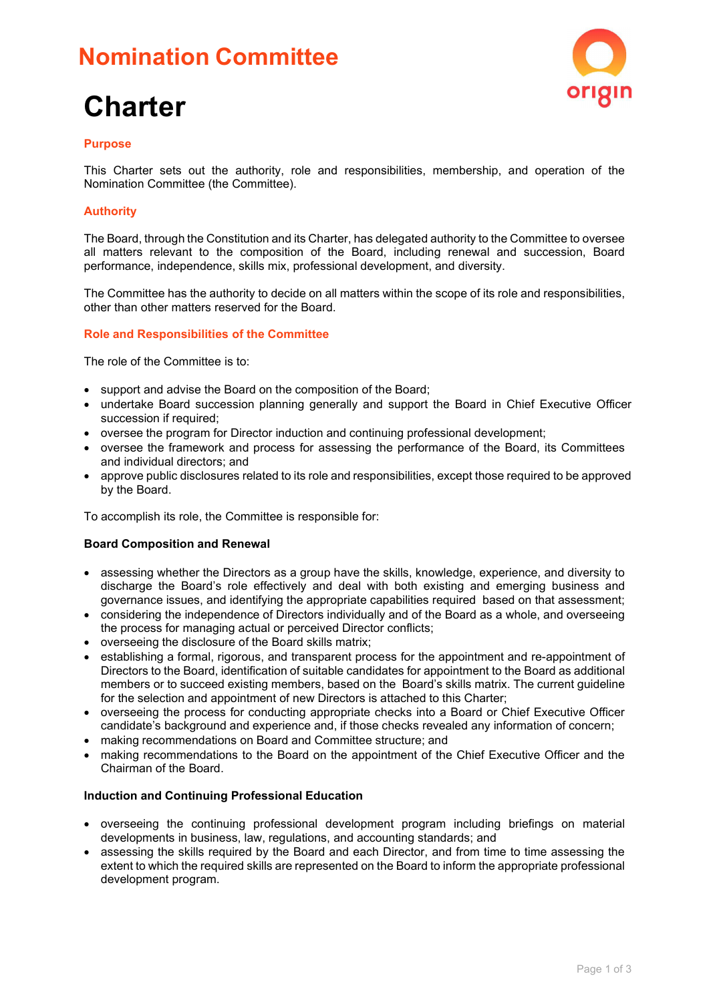## **Nomination Committee**

# **Charter**



#### **Purpose**

This Charter sets out the authority, role and responsibilities, membership, and operation of the Nomination Committee (the Committee).

#### **Authority**

The Board, through the Constitution and its Charter, has delegated authority to the Committee to oversee all matters relevant to the composition of the Board, including renewal and succession, Board performance, independence, skills mix, professional development, and diversity.

The Committee has the authority to decide on all matters within the scope of its role and responsibilities, other than other matters reserved for the Board.

#### **Role and Responsibilities of the Committee**

The role of the Committee is to:

- support and advise the Board on the composition of the Board;
- undertake Board succession planning generally and support the Board in Chief Executive Officer succession if required;
- oversee the program for Director induction and continuing professional development;
- oversee the framework and process for assessing the performance of the Board, its Committees and individual directors; and
- approve public disclosures related to its role and responsibilities, except those required to be approved by the Board.

To accomplish its role, the Committee is responsible for:

#### **Board Composition and Renewal**

- assessing whether the Directors as a group have the skills, knowledge, experience, and diversity to discharge the Board's role effectively and deal with both existing and emerging business and governance issues, and identifying the appropriate capabilities required based on that assessment;
- considering the independence of Directors individually and of the Board as a whole, and overseeing the process for managing actual or perceived Director conflicts;
- overseeing the disclosure of the Board skills matrix;
- establishing a formal, rigorous, and transparent process for the appointment and re-appointment of Directors to the Board, identification of suitable candidates for appointment to the Board as additional members or to succeed existing members, based on the Board's skills matrix. The current guideline for the selection and appointment of new Directors is attached to this Charter;
- overseeing the process for conducting appropriate checks into a Board or Chief Executive Officer candidate's background and experience and, if those checks revealed any information of concern;
- making recommendations on Board and Committee structure; and
- making recommendations to the Board on the appointment of the Chief Executive Officer and the Chairman of the Board.

#### **Induction and Continuing Professional Education**

- overseeing the continuing professional development program including briefings on material developments in business, law, regulations, and accounting standards; and
- assessing the skills required by the Board and each Director, and from time to time assessing the extent to which the required skills are represented on the Board to inform the appropriate professional development program.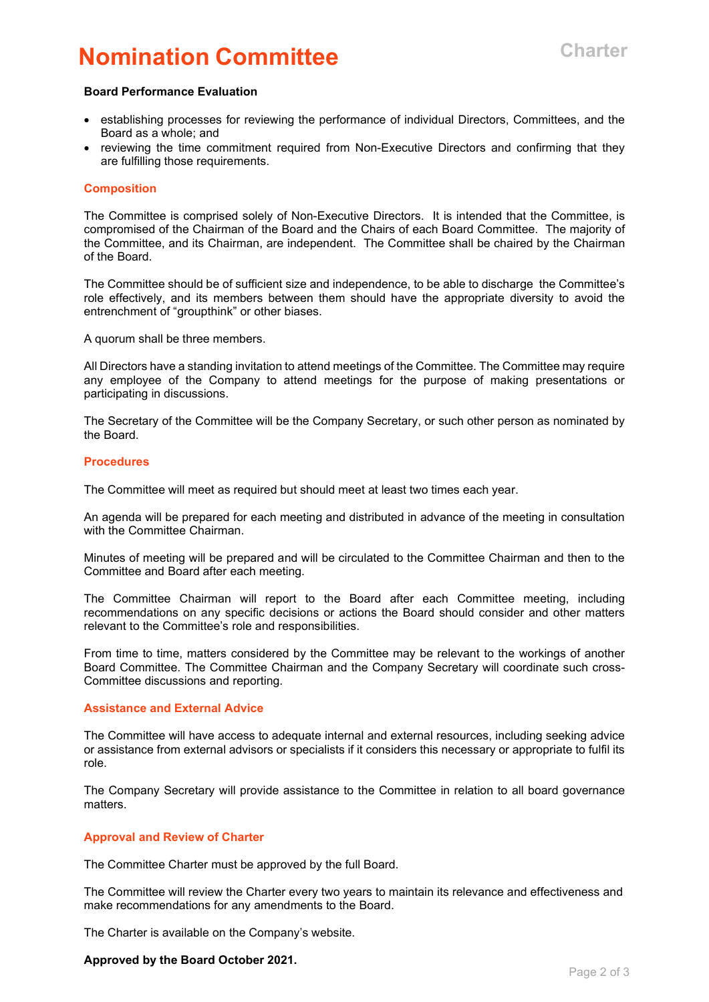### **Nomination Committee Charter**

#### **Board Performance Evaluation**

- establishing processes for reviewing the performance of individual Directors, Committees, and the Board as a whole; and
- reviewing the time commitment required from Non-Executive Directors and confirming that they are fulfilling those requirements.

#### **Composition**

The Committee is comprised solely of Non-Executive Directors. It is intended that the Committee, is compromised of the Chairman of the Board and the Chairs of each Board Committee. The majority of the Committee, and its Chairman, are independent. The Committee shall be chaired by the Chairman of the Board.

The Committee should be of sufficient size and independence, to be able to discharge the Committee's role effectively, and its members between them should have the appropriate diversity to avoid the entrenchment of "groupthink" or other biases.

A quorum shall be three members.

All Directors have a standing invitation to attend meetings of the Committee. The Committee may require any employee of the Company to attend meetings for the purpose of making presentations or participating in discussions.

The Secretary of the Committee will be the Company Secretary, or such other person as nominated by the Board.

#### **Procedures**

The Committee will meet as required but should meet at least two times each year.

An agenda will be prepared for each meeting and distributed in advance of the meeting in consultation with the Committee Chairman.

Minutes of meeting will be prepared and will be circulated to the Committee Chairman and then to the Committee and Board after each meeting.

The Committee Chairman will report to the Board after each Committee meeting, including recommendations on any specific decisions or actions the Board should consider and other matters relevant to the Committee's role and responsibilities.

From time to time, matters considered by the Committee may be relevant to the workings of another Board Committee. The Committee Chairman and the Company Secretary will coordinate such cross-Committee discussions and reporting.

#### **Assistance and External Advice**

The Committee will have access to adequate internal and external resources, including seeking advice or assistance from external advisors or specialists if it considers this necessary or appropriate to fulfil its role.

The Company Secretary will provide assistance to the Committee in relation to all board governance matters.

#### **Approval and Review of Charter**

The Committee Charter must be approved by the full Board.

The Committee will review the Charter every two years to maintain its relevance and effectiveness and make recommendations for any amendments to the Board.

The Charter is available on the Company's website.

#### **Approved by the Board October 2021.**